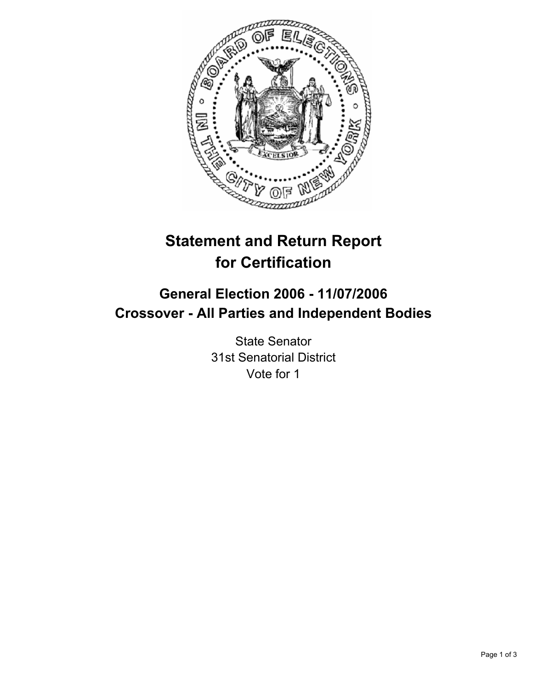

# **Statement and Return Report for Certification**

## **General Election 2006 - 11/07/2006 Crossover - All Parties and Independent Bodies**

State Senator 31st Senatorial District Vote for 1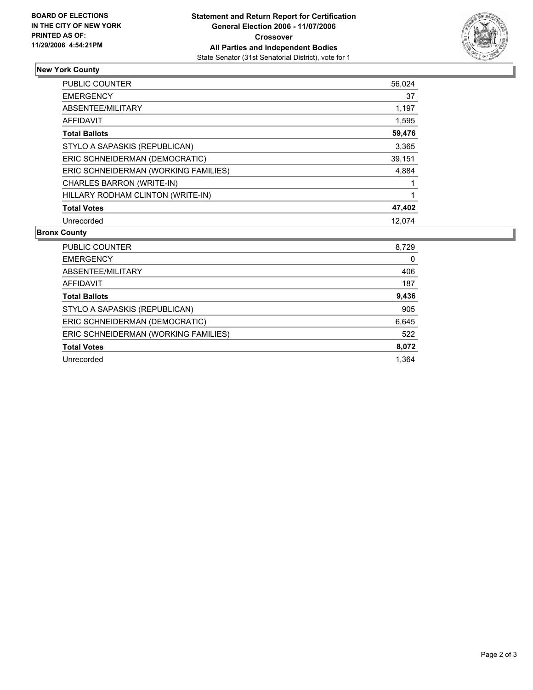

## **New York County**

| <b>PUBLIC COUNTER</b>                | 56,024 |
|--------------------------------------|--------|
| <b>EMERGENCY</b>                     | 37     |
| ABSENTEE/MILITARY                    | 1,197  |
| AFFIDAVIT                            | 1,595  |
| <b>Total Ballots</b>                 | 59,476 |
| STYLO A SAPASKIS (REPUBLICAN)        | 3,365  |
| ERIC SCHNEIDERMAN (DEMOCRATIC)       | 39,151 |
| ERIC SCHNEIDERMAN (WORKING FAMILIES) | 4,884  |
| CHARLES BARRON (WRITE-IN)            |        |
| HILLARY RODHAM CLINTON (WRITE-IN)    |        |
| <b>Total Votes</b>                   | 47,402 |
| Unrecorded                           | 12.074 |

### **Bronx County**

| PUBLIC COUNTER                       | 8,729 |
|--------------------------------------|-------|
| <b>EMERGENCY</b>                     |       |
| ABSENTEE/MILITARY                    | 406   |
| AFFIDAVIT                            | 187   |
| <b>Total Ballots</b>                 | 9,436 |
| STYLO A SAPASKIS (REPUBLICAN)        | 905   |
| ERIC SCHNEIDERMAN (DEMOCRATIC)       | 6,645 |
| ERIC SCHNEIDERMAN (WORKING FAMILIES) | 522   |
| <b>Total Votes</b>                   | 8,072 |
| Unrecorded                           | 1.364 |